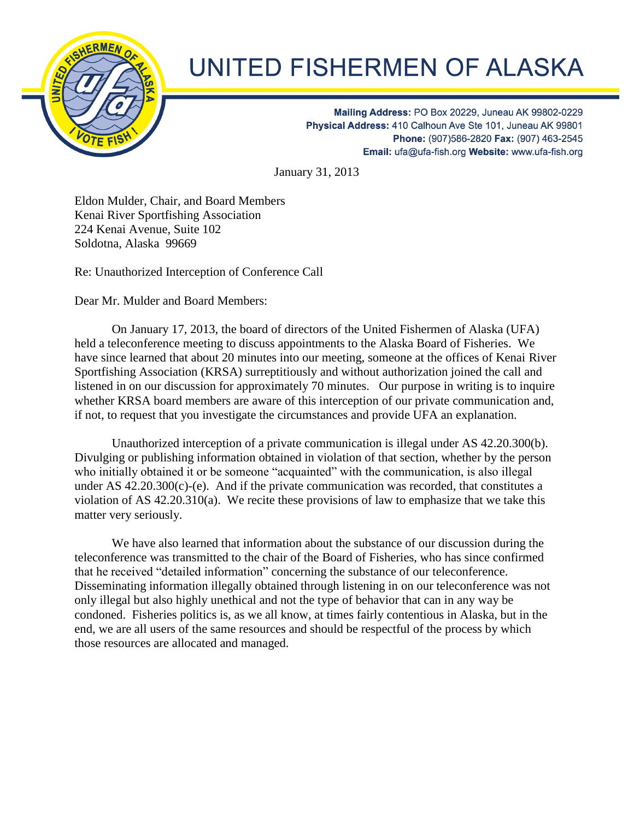

## UNITED FISHERMEN OF ALASKA

Mailing Address: PO Box 20229, Juneau AK 99802-0229 Physical Address: 410 Calhoun Ave Ste 101, Juneau AK 99801 Phone: (907)586-2820 Fax: (907) 463-2545 Email: ufa@ufa-fish.org Website: www.ufa-fish.org

January 31, 2013

Eldon Mulder, Chair, and Board Members Kenai River Sportfishing Association 224 Kenai Avenue, Suite 102 Soldotna, Alaska 99669

Re: Unauthorized Interception of Conference Call

Dear Mr. Mulder and Board Members:

On January 17, 2013, the board of directors of the United Fishermen of Alaska (UFA) held a teleconference meeting to discuss appointments to the Alaska Board of Fisheries. We have since learned that about 20 minutes into our meeting, someone at the offices of Kenai River Sportfishing Association (KRSA) surreptitiously and without authorization joined the call and listened in on our discussion for approximately 70 minutes. Our purpose in writing is to inquire whether KRSA board members are aware of this interception of our private communication and, if not, to request that you investigate the circumstances and provide UFA an explanation.

 Unauthorized interception of a private communication is illegal under AS 42.20.300(b). Divulging or publishing information obtained in violation of that section, whether by the person who initially obtained it or be someone "acquainted" with the communication, is also illegal under AS 42.20.300(c)-(e). And if the private communication was recorded, that constitutes a violation of AS 42.20.310(a). We recite these provisions of law to emphasize that we take this matter very seriously.

We have also learned that information about the substance of our discussion during the teleconference was transmitted to the chair of the Board of Fisheries, who has since confirmed that he received "detailed information" concerning the substance of our teleconference. Disseminating information illegally obtained through listening in on our teleconference was not only illegal but also highly unethical and not the type of behavior that can in any way be condoned. Fisheries politics is, as we all know, at times fairly contentious in Alaska, but in the end, we are all users of the same resources and should be respectful of the process by which those resources are allocated and managed.